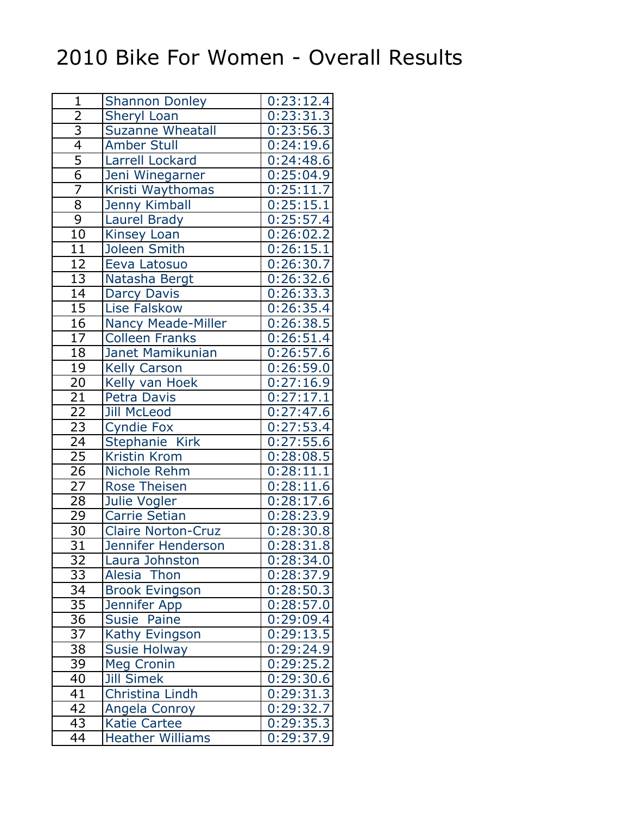## 2010 Bike For Women - Overall Results

| $\mathbf{1}$    | <b>Shannon Donley</b>     | 0:23:12.4              |
|-----------------|---------------------------|------------------------|
| $\overline{2}$  | <b>Sheryl Loan</b>        | 0:23:31.3              |
|                 | <b>Suzanne Wheatall</b>   | 0:23:56.3              |
| $\frac{3}{4}$   | <b>Amber Stull</b>        | 0:24:19.6              |
|                 | Larrell Lockard           | 0:24:48.6              |
| $\overline{6}$  | Jeni Winegarner           | 0:25:04.9              |
| 7               | Kristi Waythomas          | 0:25:11.7              |
| $\overline{8}$  | <b>Jenny Kimball</b>      | 0:25:15.1              |
| $\overline{9}$  | Laurel Brady              | 0:25:57.4              |
| $\overline{10}$ | Kinsey Loan               | 0:26:02.2              |
| $\overline{11}$ | Joleen Smith              | 0:26:15.1              |
| $\overline{12}$ | Eeva Latosuo              | 0:26:30.7              |
| $\overline{13}$ | Natasha Bergt             | 0:26:32.6              |
| 14              | <b>Darcy Davis</b>        | 0:26:33.3              |
| $\overline{15}$ | Lise Falskow              | 0:26:35.4              |
| 16              | <b>Nancy Meade-Miller</b> | 0:26:38.5              |
| $\overline{17}$ | <b>Colleen Franks</b>     | 0:26:51.4              |
| 18              | <b>Janet Mamikunian</b>   | 0:26:57.6              |
| 19              | <b>Kelly Carson</b>       | 0:26:59.0              |
| $\overline{20}$ | Kelly van Hoek            | 0:27:16.9              |
| $\overline{21}$ | <b>Petra Davis</b>        | $0:27:17.\overline{1}$ |
| $\overline{22}$ | <b>Jill McLeod</b>        | 0:27:47.6              |
| $\overline{23}$ | <b>Cyndie Fox</b>         | 0:27:53.4              |
| 24              | Stephanie Kirk            | 0:27:55.6              |
| $\overline{25}$ | Kristin Krom              | 0:28:08.5              |
| $\overline{26}$ | Nichole Rehm              | $0:28:1\overline{1.1}$ |
| $\overline{27}$ | <b>Rose Theisen</b>       | 0:28:11.6              |
| $\overline{28}$ | Julie Vogler              | 0:28:17.6              |
| 29              | Carrie Setian             | 0:28:23.9              |
| $\overline{30}$ | <b>Claire Norton-Cruz</b> | 0:28:30.8              |
| $\overline{31}$ | <b>Jennifer Henderson</b> | $0:28:31.\overline{8}$ |
| 32              | Laura Johnston            | 0:28:34.0              |
| $\overline{3}3$ | Alesia Thon               | 0:28:37.9              |
| 34              | <b>Brook Evingson</b>     | 0:28:50.3              |
| $\overline{35}$ | Jennifer App              | 0:28:57.0              |
| $\overline{36}$ | Susie Paine               | 0:29:09.4              |
| $\overline{37}$ | Kathy Evingson            | 0:29:13.5              |
| $\overline{38}$ | <b>Susie Holway</b>       | 0:29:24.9              |
| 39              | <b>Meg Cronin</b>         | 0:29:25.2              |
| 40              | <b>Jill Simek</b>         | 0:29:30.6              |
| 41              | Christina Lindh           | 0:29:31.3              |
| 42              | Angela Conroy             | 0:29:32.7              |
| 43              | <b>Katie Cartee</b>       | 0:29:35.3              |
| 44              | <b>Heather Williams</b>   | 0:29:37.9              |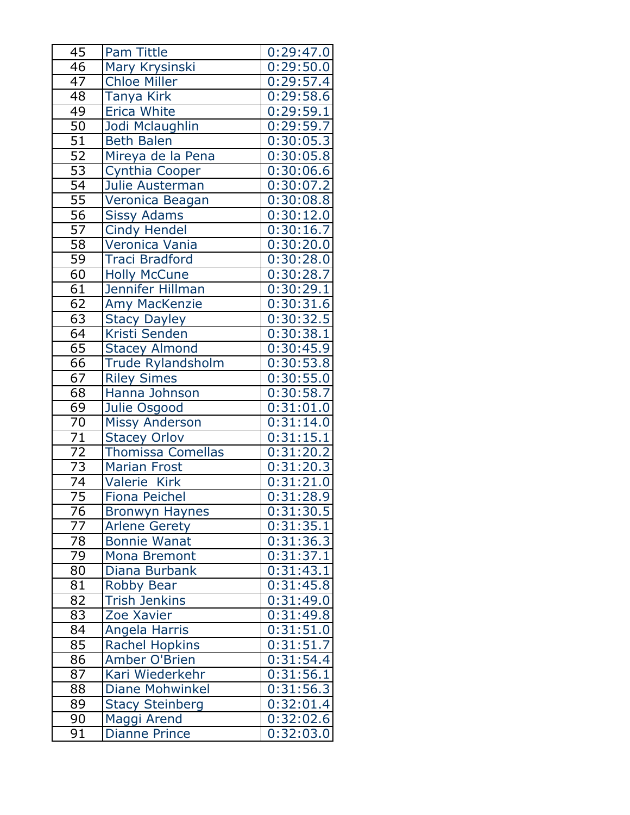| 45              | <b>Pam Tittle</b>        | 0:29:47.0              |
|-----------------|--------------------------|------------------------|
| 46              | Mary Krysinski           | 0:29:50.0              |
| 47              | <b>Chloe Miller</b>      | 0:29:57.4              |
| 48              | <b>Tanya Kirk</b>        | 0:29:58.6              |
| 49              | <b>Erica White</b>       | 0:29:59.1              |
| 50              | Jodi Mclaughlin          | 0:29:59.7              |
| $\overline{51}$ | <b>Beth Balen</b>        | 0:30:05.3              |
| $\overline{52}$ | Mireya de la Pena        | 0:30:05.8              |
| 53              | Cynthia Cooper           | 0:30:06.6              |
| $\overline{54}$ | Julie Austerman          | 0:30:07.2              |
| 55              | Veronica Beagan          | 0:30:08.8              |
| $\overline{56}$ | <b>Sissy Adams</b>       | $0:30:12.\overline{0}$ |
| $\overline{57}$ | Cindy Hendel             | 0:30:16.7              |
| 58              | Veronica Vania           | 0:30:20.0              |
| $\overline{59}$ | <b>Traci Bradford</b>    | 0:30:28.0              |
| 60              | <b>Holly McCune</b>      | 0:30:28.7              |
| $\overline{61}$ | Jennifer Hillman         | 0:30:29.1              |
| 62              | Amy MacKenzie            | 0:30:31.6              |
| 63              | <b>Stacy Dayley</b>      | 0:30:32.5              |
| $\overline{64}$ | Kristi Senden            | 0:30:38.1              |
| 65              | <b>Stacey Almond</b>     | 0:30:45.9              |
| 66              | Trude Rylandsholm        | 0:30:53.8              |
| 67              | <b>Riley Simes</b>       | 0:30:55.0              |
| 68              | Hanna Johnson            | 0:30:58.7              |
| 69              | Julie Osgood             | 0:31:01.0              |
| 70              | <b>Missy Anderson</b>    | 0:31:14.0              |
| $\overline{71}$ | <b>Stacey Orlov</b>      | 0:31:15.1              |
| $\overline{72}$ | <b>Thomissa Comellas</b> | 0:31:20.2              |
| $\overline{73}$ | <b>Marian Frost</b>      | 0:31:20.3              |
| $\overline{74}$ | Valerie Kirk             | 0:31:21.0              |
| $\overline{75}$ | <b>Fiona Peichel</b>     | 0:31:28.9              |
| 76              | <b>Bronwyn Haynes</b>    | 0:31:30.5              |
| $7\overline{7}$ | <b>Arlene Gerety</b>     | 0:31:35.1              |
| 78              | <b>Bonnie Wanat</b>      | 0:31:36.3              |
| 79              | Mona Bremont             | 0:31:37.1              |
| 80              | Diana Burbank            | 0:31:43.1              |
| 81              | <b>Robby Bear</b>        | 0:31:45.8              |
| 82              | <b>Trish Jenkins</b>     | 0:31:49.0              |
| 83              | Zoe Xavier               | 0:31:49.8              |
| 84              | Angela Harris            | 0:31:51.0              |
| 85              | <b>Rachel Hopkins</b>    | 0:31:51.7              |
| 86              | Amber O'Brien            | 0:31:54.4              |
| 87              | Kari Wiederkehr          | 0:31:56.1              |
| 88              | <b>Diane Mohwinkel</b>   | 0:31:56.3              |
| 89              | <b>Stacy Steinberg</b>   | 0:32:01.4              |
| 90              | Maggi Arend              | 0:32:02.6              |
| 91              | <b>Dianne Prince</b>     | 0:32:03.0              |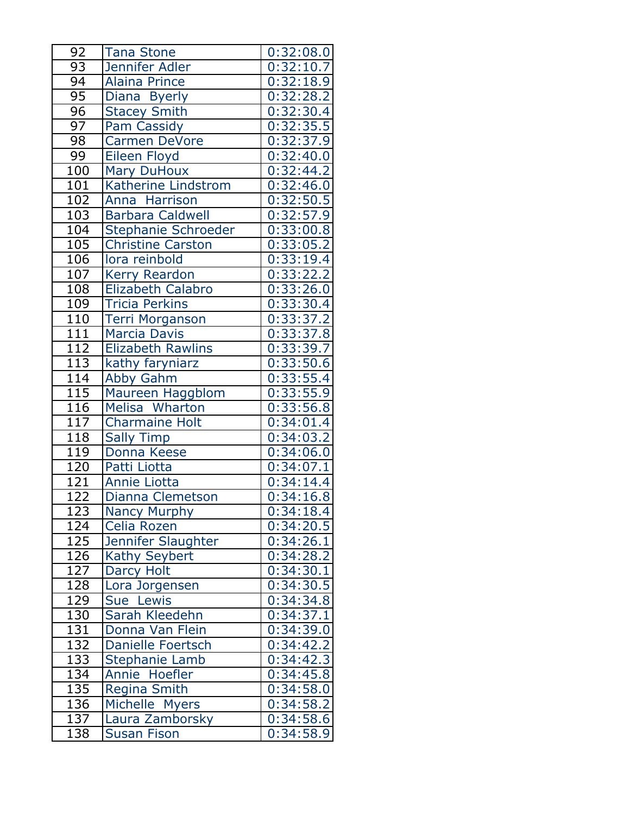| 92               | <b>Tana Stone</b>        | 0:32:08.0              |
|------------------|--------------------------|------------------------|
| 93               | Jennifer Adler           | 0:32:10.7              |
| $\overline{9}4$  | <b>Alaina Prince</b>     | 0:32:18.9              |
| 95               | Diana Byerly             | 0:32:28.2              |
| 96               | <b>Stacey Smith</b>      | 0:32:30.4              |
| 97               | Pam Cassidy              | 0:32:35.5              |
| 98               | <b>Carmen DeVore</b>     | 0:32:37.9              |
| 99               | Eileen Floyd             | 0:32:40.0              |
| 100              | <b>Mary DuHoux</b>       | 0:32:44.2              |
| 101              | Katherine Lindstrom      | 0:32:46.0              |
| 102              | Anna Harrison            | 0:32:50.5              |
| 103              | <b>Barbara Caldwell</b>  | 0:32:57.9              |
| 10 <sup>4</sup>  | Stephanie Schroeder      | 0:33:00.8              |
| 105              | <b>Christine Carston</b> | 0:33:05.2              |
| 106              | lora reinbold            | 0:33:19.4              |
| 107              | <b>Kerry Reardon</b>     | 0:33:22.2              |
| 108              | Elizabeth Calabro        | 0:33:26.0              |
| 109              | <b>Tricia Perkins</b>    | 0:33:30.4              |
| 110              | <b>Terri Morganson</b>   | 0:33:37.2              |
| $\overline{111}$ | <b>Marcia Davis</b>      | 0:33:37.8              |
| 112              | <b>Elizabeth Rawlins</b> | 0:33:39.7              |
| 113              | kathy faryniarz          | 0:33:50.6              |
| 114              | <b>Abby Gahm</b>         | 0:33:55.4              |
| 115              | Maureen Haggblom         | 0:33:55.9              |
| 116              | Melisa Wharton           | 0:33:56.8              |
| 117              | <b>Charmaine Holt</b>    | 0:34:01.4              |
| 118              | <b>Sally Timp</b>        | 0:34:03.2              |
| 119              | Donna Keese              | 0:34:06.0              |
| 120              | Patti Liotta             | 0:34:07.1              |
| 121              | <b>Annie Liotta</b>      | 0:34:14.4              |
| 122              | Dianna Clemetson         | 0:34:16.8              |
| 123              | <b>Nancy Murphy</b>      | 0:34:18.4              |
| 124              | Celia Rozen              | 0:34:20.5              |
| 125              | Jennifer Slaughter       | 0:34:26.1              |
| <u>126</u>       | <b>Kathy Seybert</b>     | 0:34:28.2              |
| 127              | Darcy Holt               | 0:34:30.1              |
| 128              | Lora Jorgensen           | 0:34:30.5              |
| 129              | Sue Lewis                | 0:34:34.8              |
| 130              | Sarah Kleedehn           | 0:34:37.1              |
| <u>131</u>       | Donna Van Flein          | $0:\overline{34:39.0}$ |
| 132              | <b>Danielle Foertsch</b> | 0:34:42.2              |
| 133              | <b>Stephanie Lamb</b>    | 0:34:42.3              |
| 134              | Annie Hoefler            | 0:34:45.8              |
| 135              | <b>Regina Smith</b>      | 0:34:58.0              |
| 136              | Michelle Myers           | 0:34:58.2              |
| 137              | Laura Zamborsky          | 0:34:58.6              |
| 138              | <b>Susan Fison</b>       | $0:34:58.\overline{9}$ |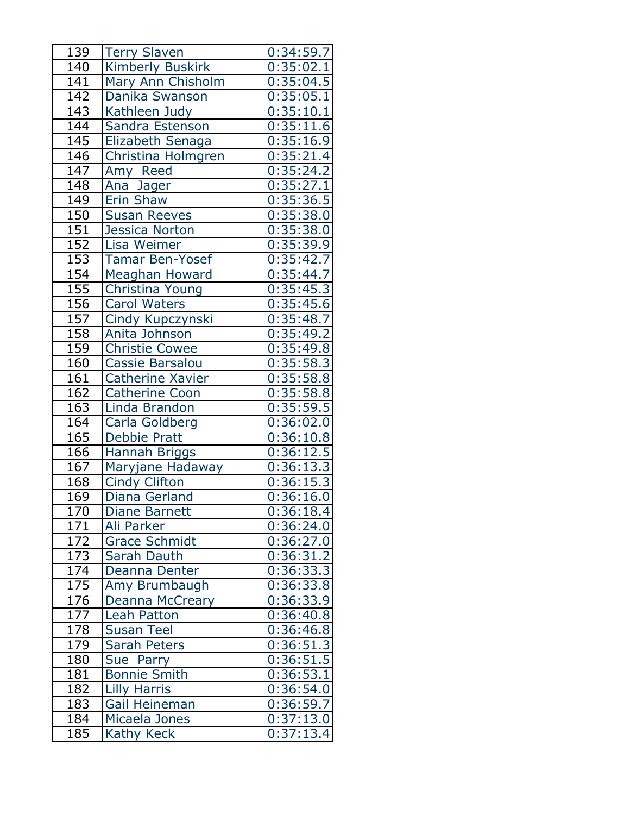| 139               | <b>Terry Slaven</b>     | 0:34:59.7 |
|-------------------|-------------------------|-----------|
| 140               | <b>Kimberly Buskirk</b> | 0:35:02.1 |
| 141               | Mary Ann Chisholm       | 0:35:04.5 |
| 142               | Danika Swanson          | 0:35:05.1 |
| 143               | Kathleen Judy           | 0:35:10.1 |
| 144               | Sandra Estenson         | 0:35:11.6 |
| 145               | Elizabeth Senaga        | 0:35:16.9 |
| 146               | Christina Holmgren      | 0:35:21.4 |
| 147               | Amy Reed                | 0:35:24.2 |
| 148               | Ana Jager               | 0:35:27.1 |
| 149               | <b>Erin Shaw</b>        | 0:35:36.5 |
| 150               | <b>Susan Reeves</b>     | 0:35:38.0 |
| 151               | <b>Jessica Norton</b>   | 0:35:38.0 |
| 152               | Lisa Weimer             | 0:35:39.9 |
| 153               | <b>Tamar Ben-Yosef</b>  | 0:35:42.7 |
| 154               | Meaghan Howard          | 0:35:44.7 |
| 155               | Christina Young         | 0:35:45.3 |
| 156               | <b>Carol Waters</b>     | 0:35:45.6 |
| 157               | Cindy Kupczynski        | 0:35:48.7 |
| 158               | Anita Johnson           | 0:35:49.2 |
| 159               | <b>Christie Cowee</b>   | 0:35:49.8 |
| 160               | <b>Cassie Barsalou</b>  | 0:35:58.3 |
| 161               | <b>Catherine Xavier</b> | 0:35:58.8 |
| 162               | <b>Catherine Coon</b>   | 0:35:58.8 |
| 163               | Linda Brandon           | 0:35:59.5 |
| 164               | Carla Goldberg          | 0:36:02.0 |
| 165               | <b>Debbie Pratt</b>     | 0:36:10.8 |
| 166               | <b>Hannah Briggs</b>    | 0:36:12.5 |
| 167               | Maryjane Hadaway        | 0:36:13.3 |
| 168               | <b>Cindy Clifton</b>    | 0:36:15.3 |
| 169               | Diana Gerland           | 0:36:16.0 |
| 170               | <b>Diane Barnett</b>    | 0:36:18.4 |
| 171               | Ali Parker              | 0:36:24.0 |
| 172               | <b>Grace Schmidt</b>    | 0:36:27.0 |
| $\frac{173}{174}$ | Sarah Dauth             | 0:36:31.2 |
|                   | Deanna Denter           | 0:36:33.3 |
| 175               | Amy Brumbaugh           | 0:36:33.8 |
| 176               | Deanna McCreary         | 0:36:33.9 |
| 177               | Leah Patton             | 0:36:40.8 |
| $\overline{178}$  | <b>Susan Teel</b>       | 0:36:46.8 |
| 179               | <b>Sarah Peters</b>     | 0:36:51.3 |
| 180               | Sue Parry               | 0:36:51.5 |
| 181               | <b>Bonnie Smith</b>     | 0:36:53.1 |
| 182               | <b>Lilly Harris</b>     | 0:36:54.0 |
| 183               | Gail Heineman           | 0:36:59.7 |
| 184               | Micaela Jones           | 0:37:13.0 |
| 185               | Kathy Keck              | 0:37:13.4 |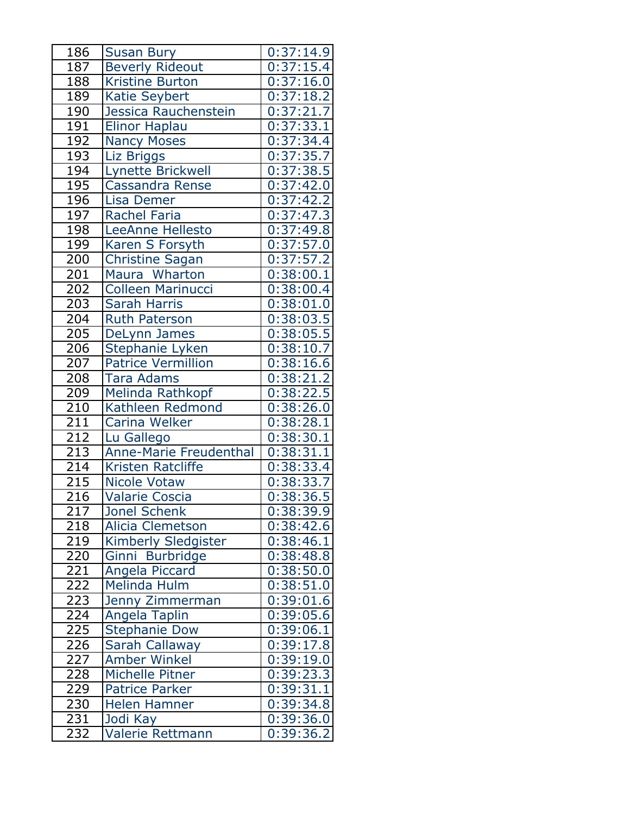| 186              | <b>Susan Bury</b>             | 0:37:14.9 |
|------------------|-------------------------------|-----------|
| 187              | <b>Beverly Rideout</b>        | 0:37:15.4 |
| 188              | <b>Kristine Burton</b>        | 0:37:16.0 |
| 189              | <b>Katie Seybert</b>          | 0:37:18.2 |
| 190              | Jessica Rauchenstein          | 0:37:21.7 |
| 191              | <b>Elinor Haplau</b>          | 0:37:33.1 |
| 192              | <b>Nancy Moses</b>            | 0:37:34.4 |
| 193              | Liz Briggs                    | 0:37:35.7 |
| 194              | Lynette Brickwell             | 0:37:38.5 |
| 195              | Cassandra Rense               | 0:37:42.0 |
| 196              | Lisa Demer                    | 0:37:42.2 |
| 197              | <b>Rachel Faria</b>           | 0:37:47.3 |
| 198              | LeeAnne Hellesto              | 0:37:49.8 |
| 199              | Karen S Forsyth               | 0:37:57.0 |
| 200              | <b>Christine Sagan</b>        | 0:37:57.2 |
| 201              | Maura Wharton                 | 0:38:00.1 |
| $\overline{202}$ | <b>Colleen Marinucci</b>      | 0:38:00.4 |
| 203              | <b>Sarah Harris</b>           | 0:38:01.0 |
| 204              | <b>Ruth Paterson</b>          | 0:38:03.5 |
| 205              | DeLynn James                  | 0:38:05.5 |
| 206              | Stephanie Lyken               | 0:38:10.7 |
| 207              | <b>Patrice Vermillion</b>     | 0:38:16.6 |
| 208              | <b>Tara Adams</b>             | 0:38:21.2 |
| 209              | Melinda Rathkopf              | 0:38:22.5 |
| 210              | Kathleen Redmond              | 0:38:26.0 |
| 211              | Carina Welker                 | 0:38:28.1 |
| 212              | Lu Gallego                    | 0:38:30.1 |
| 213              | <b>Anne-Marie Freudenthal</b> | 0:38:31.1 |
| 214              | Kristen Ratcliffe             | 0:38:33.4 |
| 215              | <b>Nicole Votaw</b>           | 0:38:33.7 |
| 216              | <b>Valarie Coscia</b>         | 0:38:36.5 |
| 217              | Jonel Schenk                  | 0:38:39.9 |
| 218              | <b>Alicia Clemetson</b>       | 0:38:42.6 |
| 219              | Kimberly Sledgister           | 0:38:46.1 |
| <u>220</u>       | Ginni Burbridge               | 0:38:48.8 |
| 221              | Angela Piccard                | 0:38:50.0 |
| $\overline{222}$ | <b>Melinda Hulm</b>           | 0:38:51.0 |
| 223              | Jenny Zimmerman               | 0:39:01.6 |
| 224              | Angela Taplin                 | 0:39:05.6 |
| <u>225</u>       | <b>Stephanie Dow</b>          | 0:39:06.1 |
| 226              | Sarah Callaway                | 0:39:17.8 |
| 227              | <b>Amber Winkel</b>           | 0:39:19.0 |
| 228              | Michelle Pitner               | 0:39:23.3 |
| 229              | <b>Patrice Parker</b>         | 0:39:31.1 |
| 230              | Helen Hamner                  | 0:39:34.8 |
| 231              | Jodi Kay                      | 0:39:36.0 |
| 232              | Valerie Rettmann              | 0:39:36.2 |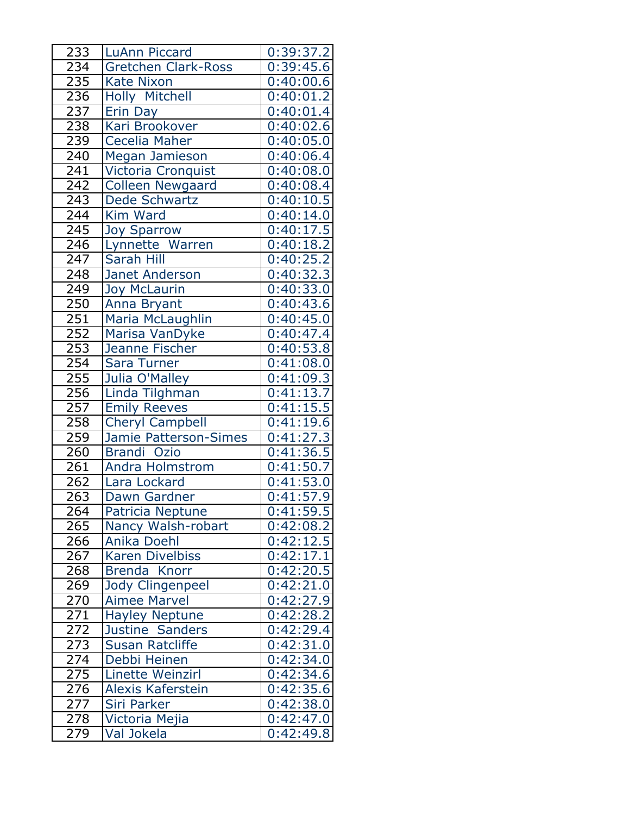| 233             | <b>LuAnn Piccard</b>       | 0:39:37.2 |
|-----------------|----------------------------|-----------|
| 234             | <b>Gretchen Clark-Ross</b> | 0:39:45.6 |
| 235             | <b>Kate Nixon</b>          | 0:40:00.6 |
| 236             | Holly Mitchell             | 0:40:01.2 |
| 237             | Erin Day                   | 0:40:01.4 |
| 238             | Kari Brookover             | 0:40:02.6 |
| 239             | Cecelia Maher              | 0:40:05.0 |
| 240             | Megan Jamieson             | 0:40:06.4 |
| 241             | Victoria Cronquist         | 0:40:08.0 |
| 242             | <b>Colleen Newgaard</b>    | 0:40:08.4 |
| 243             | Dede Schwartz              | 0:40:10.5 |
| 244             | Kim Ward                   | 0:40:14.0 |
| 245             | <b>Joy Sparrow</b>         | 0:40:17.5 |
| 246             | Lynnette Warren            | 0:40:18.2 |
| 247             | Sarah Hill                 | 0:40:25.2 |
| 248             | Janet Anderson             | 0:40:32.3 |
| 249             | <b>Joy McLaurin</b>        | 0:40:33.0 |
| 250             | Anna Bryant                | 0:40:43.6 |
| 251             | Maria McLaughlin           | 0:40:45.0 |
| 252             | Marisa VanDyke             | 0:40:47.4 |
| 253             | Jeanne Fischer             | 0:40:53.8 |
| 254             | Sara Turner                | 0:41:08.0 |
| 255             | Julia O'Malley             | 0:41:09.3 |
| 256             | Linda Tilghman             | 0:41:13.7 |
| 257             | <b>Emily Reeves</b>        | 0:41:15.5 |
| 258             | <b>Cheryl Campbell</b>     | 0:41:19.6 |
| 259             | Jamie Patterson-Simes      | 0:41:27.3 |
| 260             | Brandi Ozio                | 0:41:36.5 |
| 261             | <b>Andra Holmstrom</b>     | 0:41:50.7 |
| 262             | Lara Lockard               | 0:41:53.0 |
| 263             | Dawn Gardner               | 0:41:57.9 |
| 264             | Patricia Neptune           | 0:41:59.5 |
| 265             | Nancy Walsh-robart         | 0:42:08.2 |
| 266             | Anika Doehl                | 0:42:12.5 |
| 267             | <b>Karen Divelbiss</b>     | 0:42:17.1 |
| 268             | Brenda Knorr               | 0:42:20.5 |
| 269             | Jody Clingenpeel           | 0:42:21.0 |
| 270             | <b>Aimee Marvel</b>        | 0:42:27.9 |
| 271             | <b>Hayley Neptune</b>      | 0:42:28.2 |
| $\frac{272}{ }$ | Justine Sanders            | 0:42:29.4 |
| 273             | <b>Susan Ratcliffe</b>     | 0:42:31.0 |
| 274             | Debbi Heinen               | 0:42:34.0 |
| 275             | Linette Weinzirl           | 0:42:34.6 |
| 276             | Alexis Kaferstein          | 0:42:35.6 |
| 277             | Siri Parker                | 0:42:38.0 |
| 278             | Victoria Mejia             | 0:42:47.0 |
| 279             | Val Jokela                 | 0:42:49.8 |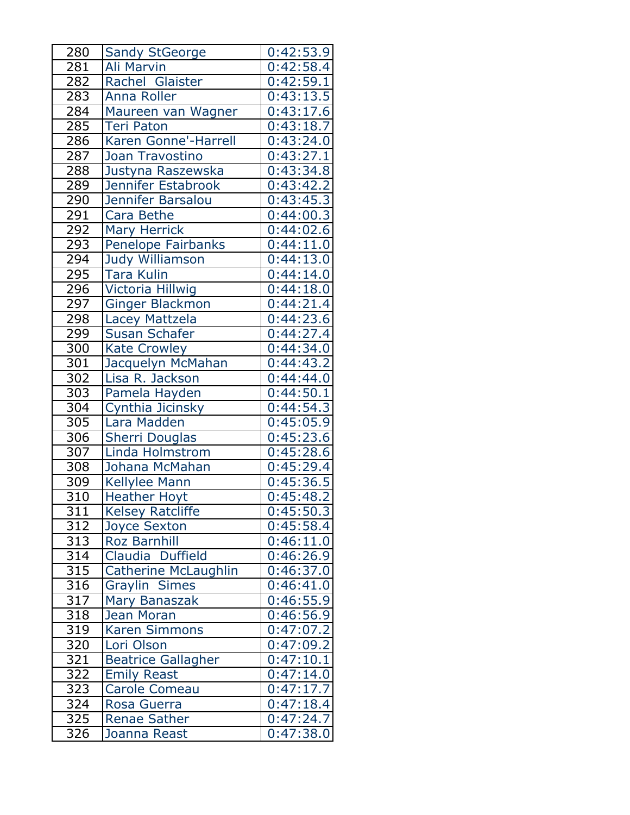| 280              | <b>Sandy StGeorge</b>       | 0:42:53.9              |
|------------------|-----------------------------|------------------------|
| 281              | Ali Marvin                  | 0:42:58.4              |
| 282              | Rachel Glaister             | 0:42:59.1              |
| 283              | <b>Anna Roller</b>          | 0:43:13.5              |
| 284              | Maureen van Wagner          | 0:43:17.6              |
| 285              | <b>Teri Paton</b>           | 0:43:18.7              |
| 286              | Karen Gonne'-Harrell        | 0:43:24.0              |
| 287              | Joan Travostino             | 0:43:27.1              |
| 288              | Justyna Raszewska           | 0:43:34.8              |
| 289              | Jennifer Estabrook          | 0:43:42.2              |
| 290              | Jennifer Barsalou           | 0:43:45.3              |
| 291              | Cara Bethe                  | 0:44:00.3              |
| 292              | <b>Mary Herrick</b>         | 0:44:02.6              |
| 293              | Penelope Fairbanks          | 0:44:11.0              |
| 294              | Judy Williamson             | 0:44:13.0              |
| 295              | <b>Tara Kulin</b>           | 0:44:14.0              |
| 296              | Victoria Hillwig            | 0:44:18.0              |
| 297              | <b>Ginger Blackmon</b>      | 0:44:21.4              |
| 298              | Lacey Mattzela              | 0:44:23.6              |
| 299              | Susan Schafer               | 0:44:27.4              |
| 300              | <b>Kate Crowley</b>         | 0:44:34.0              |
| 301              | Jacquelyn McMahan           | 0:44:43.2              |
| 302              | Lisa R. Jackson             | 0:44:44.0              |
| 303              | Pamela Hayden               | 0:44:50.1              |
| $\overline{304}$ | Cynthia Jicinsky            | 0:44:54.3              |
| 305              | Lara Madden                 | 0:45:05.9              |
| 306              | <b>Sherri Douglas</b>       | 0:45:23.6              |
| 307              | Linda Holmstrom             | 0:45:28.6              |
| 308              | Johana McMahan              | 0:45:29.4              |
| $\overline{309}$ | <b>Kellylee Mann</b>        | 0:45:36.5              |
| 310              | <b>Heather Hoyt</b>         | 0:45:48.2              |
| 311              | <b>Kelsey Ratcliffe</b>     | 0:45:50.3              |
| 312              | <b>Joyce Sexton</b>         | 0:45:58.4              |
| 313              | <b>Roz Barnhill</b>         | 0:46:11.0              |
| $\overline{3}14$ | Claudia Duffield            | 0:46:26.9              |
| 315              | <b>Catherine McLaughlin</b> | 0:46:37.0              |
| 316              | <b>Graylin Simes</b>        | 0:46:41.0              |
| 317              | Mary Banaszak               | 0:46:55.9              |
| 318              | Jean Moran                  | 0:46:56.9              |
| $\overline{319}$ | <b>Karen Simmons</b>        | $0:47:07.\overline{2}$ |
| 320              | Lori Olson                  | 0:47:09.2              |
| 321              | <b>Beatrice Gallagher</b>   | 0:47:10.1              |
| 322              | <b>Emily Reast</b>          | 0:47:14.0              |
| 323              | <b>Carole Comeau</b>        | 0:47:17.7              |
| <u>324</u>       | Rosa Guerra                 | 0:47:18.4              |
| 325              | <b>Renae Sather</b>         | 0:47:24.7              |
| 326              | Joanna Reast                | 0:47:38.0              |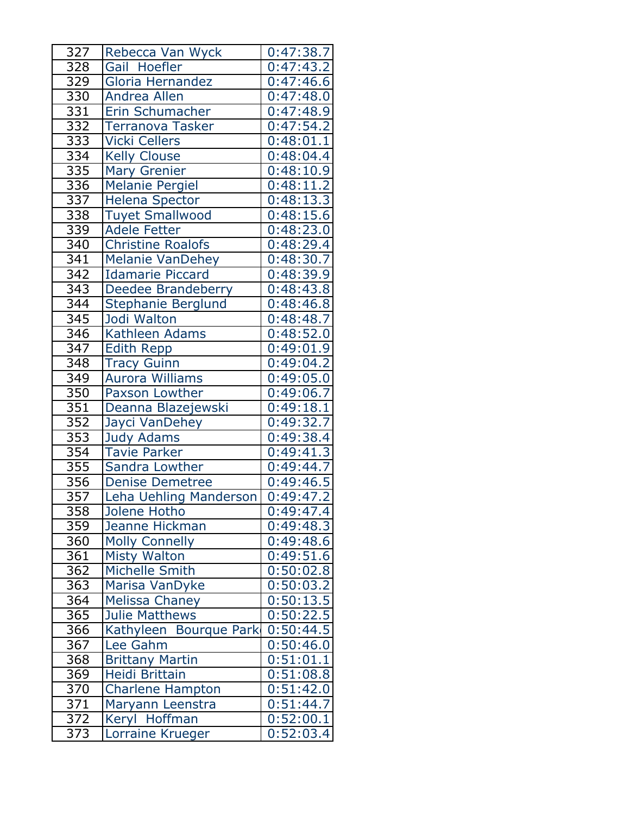| 327              | Rebecca Van Wyck         | 0:47:38.7              |
|------------------|--------------------------|------------------------|
| 328              | Gail Hoefler             | 0:47:43.2              |
| 329              | Gloria Hernandez         | 0:47:46.6              |
| 330              | Andrea Allen             | 0:47:48.0              |
| $\overline{331}$ | Erin Schumacher          | 0:47:48.9              |
| 332              | Terranova Tasker         | 0:47:54.2              |
| 333              | <b>Vicki Cellers</b>     | 0:48:01.1              |
| 334              | <b>Kelly Clouse</b>      | 0:48:04.4              |
| 335              | <b>Mary Grenier</b>      | 0:48:10.9              |
| $\overline{336}$ | <b>Melanie Pergiel</b>   | $0:48:1\overline{1.2}$ |
| 337              | <b>Helena Spector</b>    | 0:48:13.3              |
| 338              | <b>Tuyet Smallwood</b>   | 0:48:15.6              |
| 339              | <b>Adele Fetter</b>      | 0:48:23.0              |
| 340              | <b>Christine Roalofs</b> | 0:48:29.4              |
| 341              | <b>Melanie VanDehey</b>  | 0:48:30.7              |
| 342              | <b>Idamarie Piccard</b>  | 0:48:39.9              |
| 343              | Deedee Brandeberry       | 0:48:43.8              |
| 344              | Stephanie Berglund       | 0:48:46.8              |
| 345              | Jodi Walton              | 0:48:48.7              |
| $\overline{346}$ | Kathleen Adams           | 0:48:52.0              |
| 347              | <b>Edith Repp</b>        | 0:49:01.9              |
| 348              | <b>Tracy Guinn</b>       | 0:49:04.2              |
| 349              | <b>Aurora Williams</b>   | 0:49:05.0              |
| 350              | Paxson Lowther           | 0:49:06.7              |
| 351              | Deanna Blazejewski       | 0:49:18.1              |
| 352              | Jayci VanDehey           | 0:49:32.7              |
| 353              | <b>Judy Adams</b>        | 0:49:38.4              |
| 354              | <b>Tavie Parker</b>      | 0:49:41.3              |
| 355              | Sandra Lowther           | 0:49:44.7              |
| 356              | <b>Denise Demetree</b>   | 0:49:46.5              |
| 357              | Leha Uehling Manderson   | 0:49:47.2              |
| 358              | Jolene Hotho             | 0:49:47.4              |
| 359              | Jeanne Hickman           | 0:49:48.3              |
| 360              | <b>Molly Connelly</b>    | 0:49:48.6              |
| 361              | <b>Misty Walton</b>      | 0:49:51.6              |
| 362              | Michelle Smith           | 0:50:02.8              |
| 363              | Marisa VanDyke           | 0:50:03.2              |
| 364              | <b>Melissa Chaney</b>    | 0:50:13.5              |
| 365              | <b>Julie Matthews</b>    | 0:50:22.5              |
| 366              | Kathyleen Bourque Park   | 0:50:44.5              |
| 367              | Lee Gahm                 | 0:50:46.0              |
| 368              | <b>Brittany Martin</b>   | 0:51:01.1              |
| 369              | Heidi Brittain           | 0:51:08.8              |
| 370              | <b>Charlene Hampton</b>  | 0:51:42.0              |
| <u>371</u>       | Maryann Leenstra         | 0:51:44.7              |
| 372              | Keryl Hoffman            | 0:52:00.1              |
| 373              | Lorraine Krueger         | 0:52:03.4              |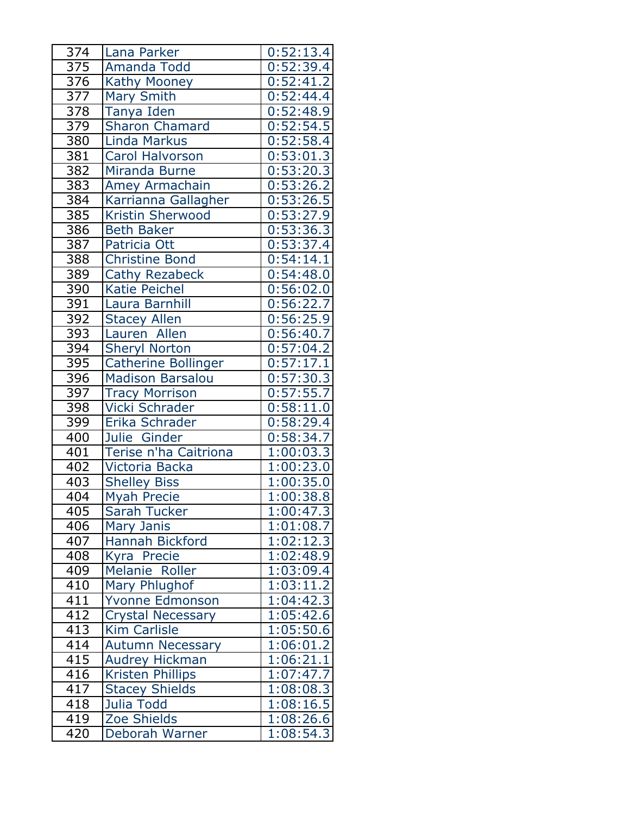| 374              | Lana Parker              | 0:52:13.4              |
|------------------|--------------------------|------------------------|
| 375              | Amanda Todd              | 0:52:39.4              |
| 376              | <b>Kathy Mooney</b>      | 0:52:41.2              |
| 377              | <b>Mary Smith</b>        | 0:52:44.4              |
| $\overline{378}$ | Tanya Iden               | 0:52:48.9              |
| 379              | <b>Sharon Chamard</b>    | 0:52:54.5              |
| 380              | <b>Linda Markus</b>      | 0:52:58.4              |
| 381              | <b>Carol Halvorson</b>   | 0:53:01.3              |
| 382              | <b>Miranda Burne</b>     | 0:53:20.3              |
| 383              | <b>Amey Armachain</b>    | 0:53:26.2              |
| 384              | Karrianna Gallagher      | 0:53:26.5              |
| 385              | Kristin Sherwood         | 0:53:27.9              |
| 386              | <b>Beth Baker</b>        | 0:53:36.3              |
| 387              | Patricia Ott             | 0:53:37.4              |
| 388              | <b>Christine Bond</b>    | 0:54:14.1              |
| 389              | <b>Cathy Rezabeck</b>    | 0:54:48.0              |
| 390              | <b>Katie Peichel</b>     | 0:56:02.0              |
| 391              | Laura Barnhill           | 0:56:22.7              |
| 392              | <b>Stacey Allen</b>      | 0:56:25.9              |
| 393              | Lauren Allen             | 0:56:40.7              |
| 394              | <b>Sheryl Norton</b>     | 0:57:04.2              |
| 395              | Catherine Bollinger      | 0:57:17.1              |
| 396              | <b>Madison Barsalou</b>  | 0:57:30.3              |
| 397              | <b>Tracy Morrison</b>    | 0:57:55.7              |
| 398              | Vicki Schrader           | 0:58:11.0              |
| 399              | Erika Schrader           | 0:58:29.4              |
| 400              | Julie Ginder             | 0:58:34.7              |
| 401              | Terise n'ha Caitriona    | 1:00:03.3              |
| 402              | Victoria Backa           | 1:00:23.0              |
| $40\overline{3}$ | <b>Shelley Biss</b>      | 1:00:35.0              |
| 404              | <b>Myah Precie</b>       | 1:00:38.8              |
| 405              | Sarah Tucker             | 1:00:47.3              |
| 406              | Mary Janis               | 1:01:08.7              |
| 407              | <b>Hannah Bickford</b>   | 1:02:12.3              |
| 408              | Kyra Precie              | 1:02:48.9              |
| 409              | Melanie Roller           | 1:03:09.4              |
| 410              | Mary Phlughof            | 1:03:11.2              |
| 411              | <b>Yvonne Edmonson</b>   | 1:04:42.3              |
| 412              | <b>Crystal Necessary</b> | 1:05:42.6              |
| 413              | <b>Kim Carlisle</b>      | 1:05:50.6              |
| 414              | <b>Autumn Necessary</b>  | 1:06:01.2              |
| 415              | Audrey Hickman           | 1:06:21.1              |
| 416              | <b>Kristen Phillips</b>  | 1:07:47.7              |
| 417              | <b>Stacey Shields</b>    | 1:08:08.3              |
| 418              | Julia Todd               | $1:08:16.\overline{5}$ |
| 419              | <b>Zoe Shields</b>       | 1:08:26.6              |
| 420              | Deborah Warner           | 1:08:54.3              |